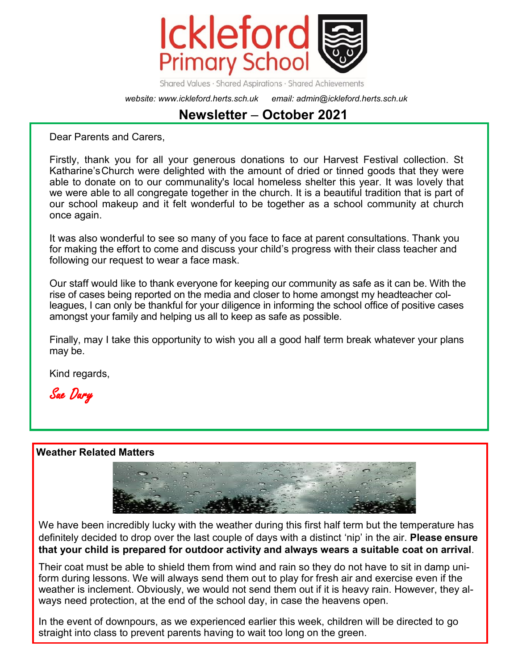

Shared Values · Shared Aspirations · Shared Achievements

*website: www.ickleford.herts.sch.uk email: admin@ickleford.herts.sch.uk*

# **Newsletter** – **October 2021**

Dear Parents and Carers,

Firstly, thank you for all your generous donations to our Harvest Festival collection. St Katharine'sChurch were delighted with the amount of dried or tinned goods that they were able to donate on to our communality's local homeless shelter this year. It was lovely that we were able to all congregate together in the church. It is a beautiful tradition that is part of our school makeup and it felt wonderful to be together as a school community at church once again.

It was also wonderful to see so many of you face to face at parent consultations. Thank you for making the effort to come and discuss your child's progress with their class teacher and following our request to wear a face mask.

Our staff would like to thank everyone for keeping our community as safe as it can be. With the rise of cases being reported on the media and closer to home amongst my headteacher colleagues, I can only be thankful for your diligence in informing the school office of positive cases amongst your family and helping us all to keep as safe as possible.

Finally, may I take this opportunity to wish you all a good half term break whatever your plans may be.

Kind regards,

Sue Dury

#### **Weather Related Matters**



We have been incredibly lucky with the weather during this first half term but the temperature has definitely decided to drop over the last couple of days with a distinct 'nip' in the air. **Please ensure that your child is prepared for outdoor activity and always wears a suitable coat on arrival**.

Their coat must be able to shield them from wind and rain so they do not have to sit in damp uniform during lessons. We will always send them out to play for fresh air and exercise even if the weather is inclement. Obviously, we would not send them out if it is heavy rain. However, they always need protection, at the end of the school day, in case the heavens open.

In the event of downpours, as we experienced earlier this week, children will be directed to go straight into class to prevent parents having to wait too long on the green.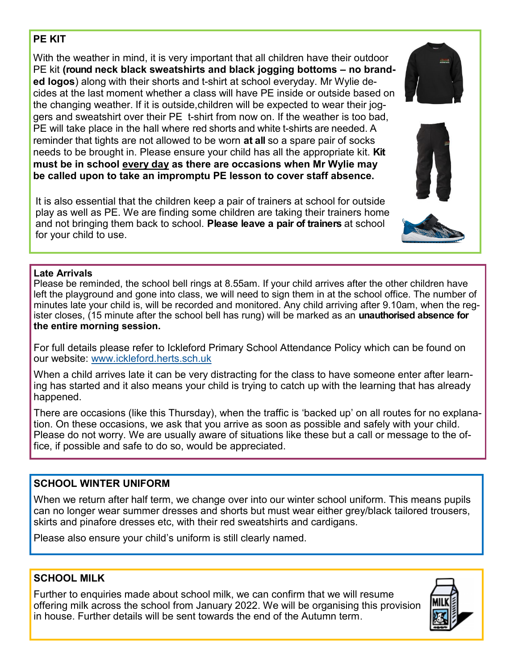## **PE KIT**

With the weather in mind, it is very important that all children have their outdoor PE kit **(round neck black sweatshirts and black jogging bottoms – no branded logos**) along with their shorts and t-shirt at school everyday. Mr Wylie decides at the last moment whether a class will have PE inside or outside based on the changing weather. If it is outside,children will be expected to wear their joggers and sweatshirt over their PE t-shirt from now on. If the weather is too bad, PE will take place in the hall where red shorts and white t-shirts are needed. A reminder that tights are not allowed to be worn **at all** so a spare pair of socks needs to be brought in. Please ensure your child has all the appropriate kit. **Kit must be in school every day as there are occasions when Mr Wylie may be called upon to take an impromptu PE lesson to cover staff absence.**

It is also essential that the children keep a pair of trainers at school for outside play as well as PE. We are finding some children are taking their trainers home and not bringing them back to school. **Please leave a pair of trainers** at school for your child to use.

#### **Late Arrivals**

Please be reminded, the school bell rings at 8.55am. If your child arrives after the other children have left the playground and gone into class, we will need to sign them in at the school office. The number of minutes late your child is, will be recorded and monitored. Any child arriving after 9.10am, when the register closes, (15 minute after the school bell has rung) will be marked as an **unauthorised absence for the entire morning session.** 

For full details please refer to Ickleford Primary School Attendance Policy which can be found on our website: [www.ickleford.herts.sch.uk](http://www.ickleford.herts.sch.uk)

When a child arrives late it can be very distracting for the class to have someone enter after learning has started and it also means your child is trying to catch up with the learning that has already happened.

There are occasions (like this Thursday), when the traffic is 'backed up' on all routes for no explanation. On these occasions, we ask that you arrive as soon as possible and safely with your child. Please do not worry. We are usually aware of situations like these but a call or message to the office, if possible and safe to do so, would be appreciated.

### **SCHOOL WINTER UNIFORM**

When we return after half term, we change over into our winter school uniform. This means pupils can no longer wear summer dresses and shorts but must wear either grey/black tailored trousers, skirts and pinafore dresses etc, with their red sweatshirts and cardigans.

Please also ensure your child's uniform is still clearly named.

## **SCHOOL MILK**

Further to enquiries made about school milk, we can confirm that we will resume offering milk across the school from January 2022. We will be organising this provision in house. Further details will be sent towards the end of the Autumn term.